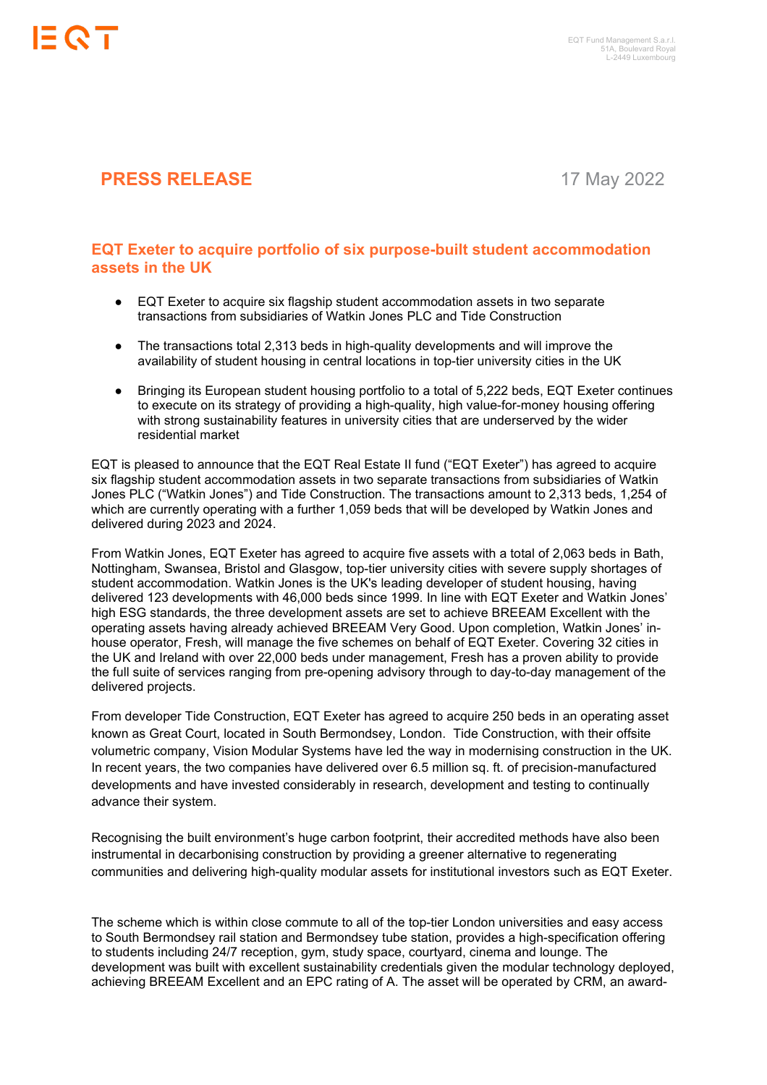

## **PRESS RELEASE** 17 May 2022

## **EQT Exeter to acquire portfolio of six purpose-built student accommodation assets in the UK**

- EQT Exeter to acquire six flagship student accommodation assets in two separate transactions from subsidiaries of Watkin Jones PLC and Tide Construction
- The transactions total 2,313 beds in high-quality developments and will improve the availability of student housing in central locations in top-tier university cities in the UK
- Bringing its European student housing portfolio to a total of 5.222 beds, EQT Exeter continues to execute on its strategy of providing a high-quality, high value-for-money housing offering with strong sustainability features in university cities that are underserved by the wider residential market

EQT is pleased to announce that the EQT Real Estate II fund ("EQT Exeter") has agreed to acquire six flagship student accommodation assets in two separate transactions from subsidiaries of Watkin Jones PLC ("Watkin Jones") and Tide Construction. The transactions amount to 2,313 beds, 1,254 of which are currently operating with a further 1,059 beds that will be developed by Watkin Jones and delivered during 2023 and 2024.

From Watkin Jones, EQT Exeter has agreed to acquire five assets with a total of 2,063 beds in Bath, Nottingham, Swansea, Bristol and Glasgow, top-tier university cities with severe supply shortages of student accommodation. Watkin Jones is the UK's leading developer of student housing, having delivered 123 developments with 46,000 beds since 1999. In line with EQT Exeter and Watkin Jones' high ESG standards, the three development assets are set to achieve BREEAM Excellent with the operating assets having already achieved BREEAM Very Good. Upon completion, Watkin Jones' inhouse operator, Fresh, will manage the five schemes on behalf of EQT Exeter. Covering 32 cities in the UK and Ireland with over 22,000 beds under management, Fresh has a proven ability to provide the full suite of services ranging from pre-opening advisory through to day-to-day management of the delivered projects.

From developer Tide Construction, EQT Exeter has agreed to acquire 250 beds in an operating asset known as Great Court, located in South Bermondsey, London. Tide Construction, with their offsite volumetric company, Vision Modular Systems have led the way in modernising construction in the UK. In recent years, the two companies have delivered over 6.5 million sq. ft. of precision-manufactured developments and have invested considerably in research, development and testing to continually advance their system.

Recognising the built environment's huge carbon footprint, their accredited methods have also been instrumental in decarbonising construction by providing a greener alternative to regenerating communities and delivering high-quality modular assets for institutional investors such as EQT Exeter.

The scheme which is within close commute to all of the top-tier London universities and easy access to South Bermondsey rail station and Bermondsey tube station, provides a high-specification offering to students including 24/7 reception, gym, study space, courtyard, cinema and lounge. The development was built with excellent sustainability credentials given the modular technology deployed, achieving BREEAM Excellent and an EPC rating of A. The asset will be operated by CRM, an award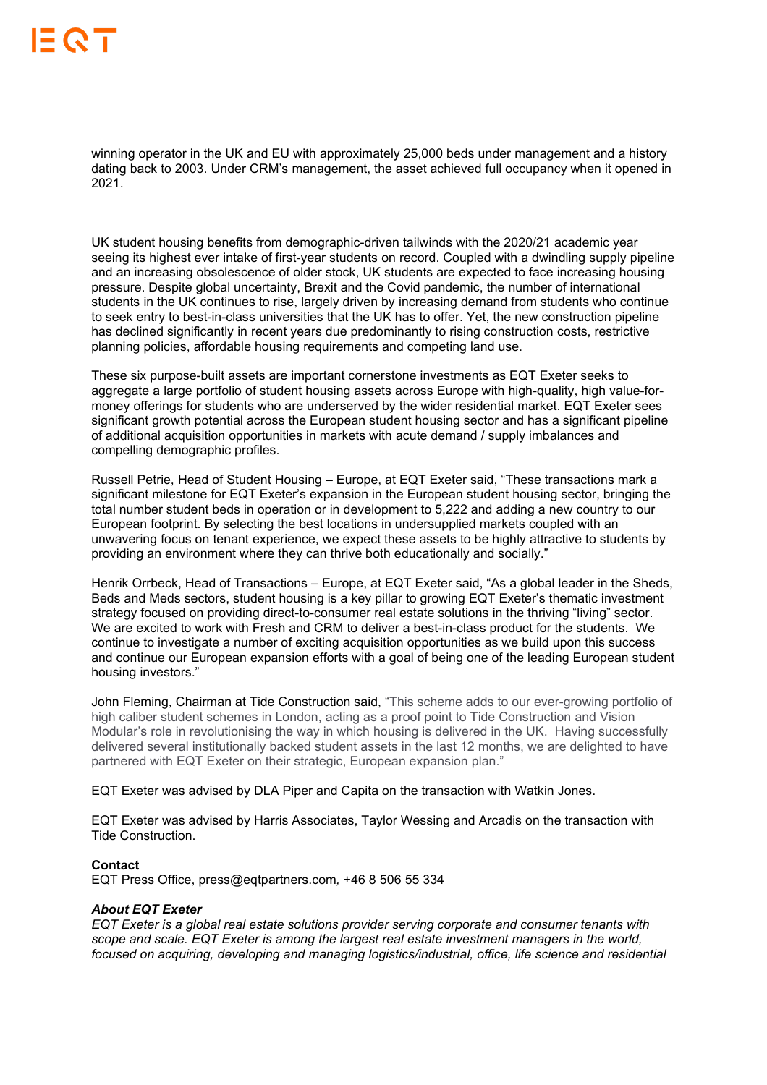winning operator in the UK and EU with approximately 25,000 beds under management and a history dating back to 2003. Under CRM's management, the asset achieved full occupancy when it opened in 2021.

UK student housing benefits from demographic-driven tailwinds with the 2020/21 academic year seeing its highest ever intake of first-year students on record. Coupled with a dwindling supply pipeline and an increasing obsolescence of older stock, UK students are expected to face increasing housing pressure. Despite global uncertainty, Brexit and the Covid pandemic, the number of international students in the UK continues to rise, largely driven by increasing demand from students who continue to seek entry to best-in-class universities that the UK has to offer. Yet, the new construction pipeline has declined significantly in recent years due predominantly to rising construction costs, restrictive planning policies, affordable housing requirements and competing land use.

These six purpose-built assets are important cornerstone investments as EQT Exeter seeks to aggregate a large portfolio of student housing assets across Europe with high-quality, high value-formoney offerings for students who are underserved by the wider residential market. EQT Exeter sees significant growth potential across the European student housing sector and has a significant pipeline of additional acquisition opportunities in markets with acute demand / supply imbalances and compelling demographic profiles.

Russell Petrie, Head of Student Housing – Europe, at EQT Exeter said, "These transactions mark a significant milestone for EQT Exeter's expansion in the European student housing sector, bringing the total number student beds in operation or in development to 5,222 and adding a new country to our European footprint. By selecting the best locations in undersupplied markets coupled with an unwavering focus on tenant experience, we expect these assets to be highly attractive to students by providing an environment where they can thrive both educationally and socially."

Henrik Orrbeck, Head of Transactions – Europe, at EQT Exeter said, "As a global leader in the Sheds, Beds and Meds sectors, student housing is a key pillar to growing EQT Exeter's thematic investment strategy focused on providing direct-to-consumer real estate solutions in the thriving "living" sector. We are excited to work with Fresh and CRM to deliver a best-in-class product for the students. We continue to investigate a number of exciting acquisition opportunities as we build upon this success and continue our European expansion efforts with a goal of being one of the leading European student housing investors."

John Fleming, Chairman at Tide Construction said, "This scheme adds to our ever-growing portfolio of high caliber student schemes in London, acting as a proof point to Tide Construction and Vision Modular's role in revolutionising the way in which housing is delivered in the UK. Having successfully delivered several institutionally backed student assets in the last 12 months, we are delighted to have partnered with EQT Exeter on their strategic, European expansion plan."

EQT Exeter was advised by DLA Piper and Capita on the transaction with Watkin Jones.

EQT Exeter was advised by Harris Associates, Taylor Wessing and Arcadis on the transaction with Tide Construction.

## **Contact**

EQT Press Office, press@eqtpartners.com*,* +46 8 506 55 334

## *About EQT Exeter*

*EQT Exeter is a global real estate solutions provider serving corporate and consumer tenants with scope and scale. EQT Exeter is among the largest real estate investment managers in the world, focused on acquiring, developing and managing logistics/industrial, office, life science and residential*